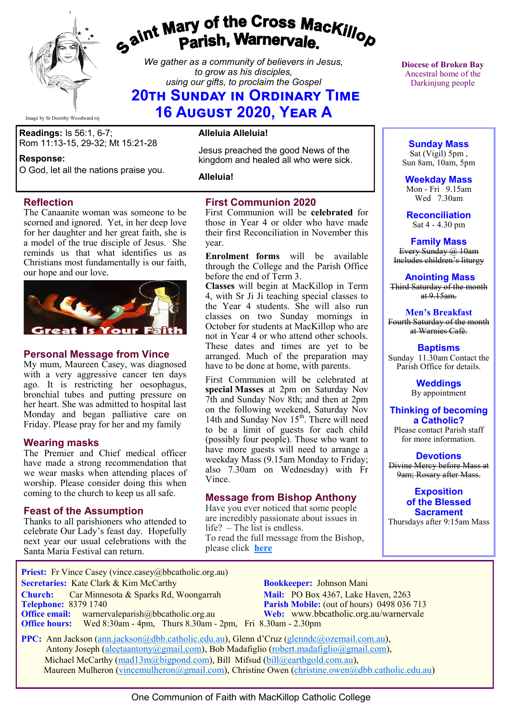

# *Gaint Mary of the Cross MacKillop*<br>*Gaint* **Parish, Warnervale.**

*We gather as a community of believers in Jesus, to grow as his disciples, using our gifts, to proclaim the Gospel*

# **20th Sunday in Ordinary Time 16 August 2020, Year A**

Image by Sr Dorothy Woodward rsj

**Readings:** Is 56:1, 6-7; Rom 11:13-15, 29-32; Mt 15:21-28

#### **Response:**

O God, let all the nations praise you.

#### **Reflection**

The Canaanite woman was someone to be scorned and ignored. Yet, in her deep love for her daughter and her great faith, she is a model of the true disciple of Jesus. She reminds us that what identifies us as Christians most fundamentally is our faith, our hope and our love.



#### **Personal Message from Vince**

My mum, Maureen Casey, was diagnosed with a very aggressive cancer ten days ago. It is restricting her oesophagus, bronchial tubes and putting pressure on her heart. She was admitted to hospital last Monday and began palliative care on Friday. Please pray for her and my family

#### **Wearing masks**

The Premier and Chief medical officer have made a strong recommendation that we wear masks when attending places of worship. Please consider doing this when coming to the church to keep us all safe.

#### **Feast of the Assumption**

Thanks to all parishioners who attended to celebrate Our Lady's feast day. Hopefully next year our usual celebrations with the Santa Maria Festival can return.

**Alleluia Alleluia!**

Jesus preached the good News of the kingdom and healed all who were sick.

**Alleluia!**

### **First Communion 2020**

First Communion will be **celebrated** for those in Year 4 or older who have made their first Reconciliation in November this year.

**Enrolment forms** will be available through the College and the Parish Office before the end of Term 3.

**Classes** will begin at MacKillop in Term 4, with Sr Ji Ji teaching special classes to the Year 4 students. She will also run classes on two Sunday mornings in October for students at MacKillop who are not in Year 4 or who attend other schools. These dates and times are yet to be arranged. Much of the preparation may have to be done at home, with parents.

First Communion will be celebrated at **special Masses** at 2pm on Saturday Nov 7th and Sunday Nov 8th; and then at 2pm on the following weekend, Saturday Nov 14th and Sunday Nov  $15<sup>th</sup>$ . There will need to be a limit of guests for each child (possibly four people). Those who want to have more guests will need to arrange a weekday Mass (9.15am Monday to Friday; also 7.30am on Wednesday) with Fr Vince.

#### **Message from Bishop Anthony**

Have you ever noticed that some people are incredibly passionate about issues in life? – The list is endless. To read the full message from the Bishop, please click **[here](https://bbcatholic.us8.list-manage.com/track/click?u=466af249e088db70ab864d088&id=ceb99f611c&e=e312df0f80)**

**Diocese of Broken Bay**  Ancestral home of the Darkinjung people

**Sunday Mass** Sat (Vigil) 5pm , Sun 8am, 10am, 5pm

**Weekday Mass** Mon - Fri 9.15am Wed 7.30am

**Reconciliation** Sat 4 - 4.30 pm

**Family Mass**  Every Sunday  $(a)$  10am Includes children's liturgy

**Anointing Mass** Third Saturday of the month  $at 9.15am.$ 

**Men's Breakfast** Fourth Saturday of the month at Warnies Café.

**Baptisms** Sunday 11.30am Contact the Parish Office for details.

> **Weddings**  By appointment

**Thinking of becoming a Catholic?** Please contact Parish staff

for more information.

**Devotions** Divine Mercy before Mass at 9am; Rosary after Mass.

> **Exposition of the Blessed Sacrament**

Thursdays after 9:15am Mass

**Priest:** Fr Vince Casey (vince.casey@bbcatholic.org.au)  **Secretaries:** Kate Clark & Kim McCarthy **Bookkeeper:** Johnson Mani

**Office email:** warnervaleparish@bbcatholic.org.au **Web:** [www.bbcatholic.org.au/warnervale](https://www.bbcatholic.org.au/warnervale)

**Office hours:** Wed 8:30am - 4pm, Thurs 8.30am - 2pm, Fri 8.30am - 2.30pm

 **Church:** Car Minnesota & Sparks Rd, Woongarrah **Mail:** PO Box 4367, Lake Haven, 2263 **Telephone:** 8379 1740 **Parish Mobile:** (out of hours) 0498 036 713

 **PPC:** Ann Jackson ([ann.jackson@dbb.catholic.edu.au\),](mailto:ann.jackson@dbb.catholic.edu.au) Glenn d'Cruz ([glenndc@ozemail.com.au\)](mailto:glenndc@ozemail.com.au), Antony Joseph ([aleetaantony@gmail.com\),](mailto:aleetaantony@gmail.com) Bob Madafiglio [\(robert.madafiglio@gmail.com\),](mailto:robert.madafiglio@gmail.com) Michael McCarthy ([mad13m@bigpond.com\)](mailto:mad13m@bigpond.com), Bill Mifsud ([bill@earthgold.com.au\),](mailto:bill@earthgold.com.au) Maureen Mulheron ([vincemulheron@gmail.com\)](mailto:vincemulheron@gmail.com), Christine Owen (christine.owen[@dbb.catholic.edu.au\)](mailto:ann.jackson@dbb.catholic.edu.au)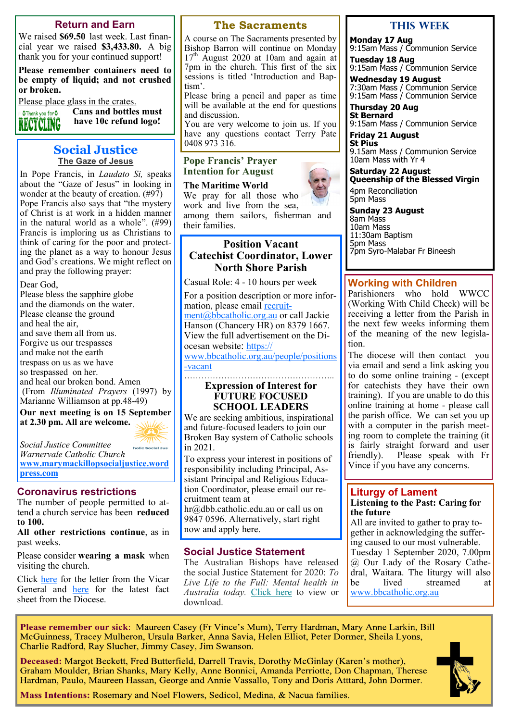#### **Return and Earn**

We raised **\$69.50** last week. Last financial year we raised **\$3,433.80.** A big thank you for your continued support!

**Please remember containers need to be empty of liquid; and not crushed or broken.** 

Please place glass in the crates.

**Cans and bottles must**  OThank you for O **have 10c refund logo!** RECYCLING

#### **Social Justice The Gaze of Jesus**

In Pope Francis, in *Laudato Si,* speaks about the "Gaze of Jesus" in looking in wonder at the beauty of creation. (#97) Pope Francis also says that "the mystery of Christ is at work in a hidden manner in the natural world as a whole". (#99) Francis is imploring us as Christians to think of caring for the poor and protecting the planet as a way to honour Jesus and God's creations. We might reflect on and pray the following prayer:

Dear God,

Please bless the sapphire globe and the diamonds on the water. Please cleanse the ground and heal the air, and save them all from us. Forgive us our trespasses and make not the earth trespass on us as we have so trespassed on her. and heal our broken bond. Amen (From *Illuminated Prayers* (1997) by Marianne Williamson at pp.48-49)

**Our next meeting is on 15 September at 2.30 pm. All are welcome.**

*Social Justice Committee* 

*Warnervale Catholic Church* **[www.marymackillopsocialjustice.word](http://www.marymackillopsocialjustice.wordpress.com) [press.com](http://www.marymackillopsocialjustice.wordpress.com)**

holic Social Just

#### **Coronavirus restrictions**

The number of people permitted to attend a church service has been **reduced to 100.**

**All other restrictions continue**, as in past weeks.

Please consider **wearing a mask** when visiting the church.

Click [here](https://bbcatholic.us8.list-manage.com/track/click?u=466af249e088db70ab864d088&id=d83b7dab6b&e=082a8c9b01) for the letter from the Vicar General and [here](https://bbcatholic.us8.list-manage.com/track/click?u=466af249e088db70ab864d088&id=27ad78a1d8&e=082a8c9b01) for the latest fact sheet from the Diocese.

#### **The Sacraments**

A course on The Sacraments presented by Bishop Barron will continue on Monday 17<sup>th</sup> August 2020 at 10am and again at 7pm in the church. This first of the six sessions is titled 'Introduction and Baptism'.

Please bring a pencil and paper as time will be available at the end for questions and discussion.

You are very welcome to join us. If you have any questions contact Terry Pate 0408 973 316.

**Pope Francis' Prayer Intention for August**

**The Maritime World** We pray for all those who work and live from the sea, among them sailors, fisherman and their families.

#### **Position Vacant Catechist Coordinator, Lower North Shore Parish**

Casual Role: 4 - 10 hours per week

For a position description or more information, please email [recruit](mailto:recruitment@bbcatholic.org.au)[ment@bbcatholic.org.au](mailto:recruitment@bbcatholic.org.au) or call Jackie Hanson (Chancery HR) on 8379 1667. View the full advertisement on the Diocesan website: [https://](https://www.bbcatholic.org.au/people/positions-vacant)

[www.bbcatholic.org.au/people/positions](https://www.bbcatholic.org.au/people/positions-vacant) -[vacant](https://www.bbcatholic.org.au/people/positions-vacant) ……………………………………………………

#### **Expression of Interest for FUTURE FOCUSED SCHOOL LEADERS**

We are seeking ambitious, inspirational and future-focused leaders to join our Broken Bay system of Catholic schools in 2021.

To express your interest in positions of responsibility including Principal, Assistant Principal and Religious Education Coordinator, please email our recruitment team at

hr@dbb.catholic.edu.au or call us on 9847 0596. Alternatively, start right now and apply here.

### **Social Justice Statement**

The Australian Bishops have released the social Justice Statement for 2020: *To Live Life to the Full: Mental health in Australia today.* [Click here](https://bbcatholic.us8.list-manage.com/track/click?u=466af249e088db70ab864d088&id=48ff8aad79&e=082a8c9b01) to view or download.

#### **This week**

**Monday 17 Aug**  9:15am Mass / Communion Service

**Tuesday 18 Aug**  9:15am Mass / Communion Service

**Wednesday 19 August** 7:30am Mass / Communion Service 9:15am Mass / Communion Service

**Thursday 20 Aug St Bernard** 9:15am Mass / Communion Service

**Friday 21 August St Pius** 9.15am Mass / Communion Service 10am Mass with Yr 4

**Saturday 22 August Queenship of the Blessed Virgin**

4pm Reconciliation 5pm Mass

**Sunday 23 August** 8am Mass 10am Mass 11:30am Baptism 5pm Mass 7pm Syro-Malabar Fr Bineesh

#### **Working with Children**

Parishioners who hold WWCC (Working With Child Check) will be receiving a letter from the Parish in the next few weeks informing them of the meaning of the new legislation.

The diocese will then contact you via email and send a link asking you to do some online training - (except for catechists they have their own training). If you are unable to do this online training at home - please call the parish office. We can set you up with a computer in the parish meeting room to complete the training (it is fairly straight forward and user friendly). Please speak with Fr Vince if you have any concerns.

#### **Liturgy of Lament Listening to the Past: Caring for the future**

All are invited to gather to pray together in acknowledging the suffering caused to our most vulnerable. Tuesday 1 September 2020, 7.00pm @ Our Lady of the Rosary Cathedral, Waitara. The liturgy will also be lived streamed at [www.bbcatholic.org.au](https://bbcatholic.us8.list-manage.com/track/click?u=466af249e088db70ab864d088&id=c772d1e95e&e=082a8c9b01)

Please remember our sick: Maureen Casey (Fr Vince's Mum), Terry Hardman, Mary Anne Larkin, Bill McGuinness, Tracey Mulheron, Ursula Barker, Anna Savia, Helen Elliot, Peter Dormer, Sheila Lyons, Charlie Radford, Ray Slucher, Jimmy Casey, Jim Swanson.

Deceased: Margot Beckett, Fred Butterfield, Darrell Travis, Dorothy McGinlay (Karen's mother), Graham Moulder, Brian Shanks, Mary Kelly, Anne Bonnici, Amanda Perriotte, Don Chapman, Therese Hardman, Paulo, Maureen Hassan, George and Annie Vassallo, Tony and Doris Atttard, John Dormer.



Mass Intentions: Rosemary and Noel Flowers, Sedicol, Medina, & Nacua families.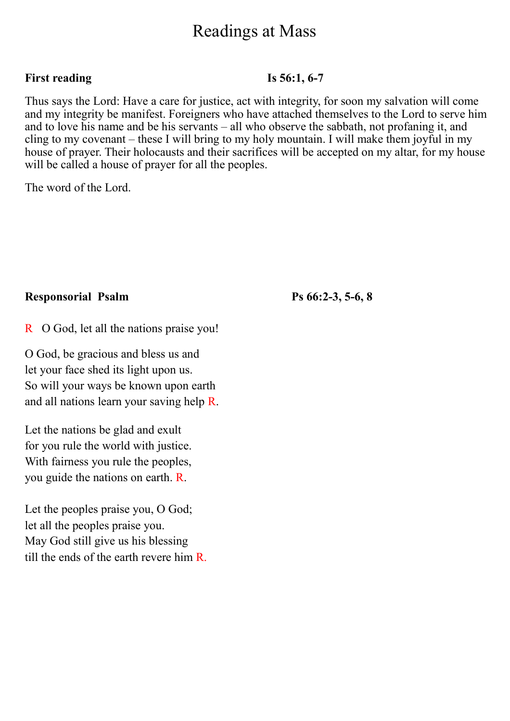# Readings at Mass

#### **First reading Is 56:1, 6-7**

Thus says the Lord: Have a care for justice, act with integrity, for soon my salvation will come and my integrity be manifest. Foreigners who have attached themselves to the Lord to serve him and to love his name and be his servants – all who observe the sabbath, not profaning it, and cling to my covenant – these I will bring to my holy mountain. I will make them joyful in my house of prayer. Their holocausts and their sacrifices will be accepted on my altar, for my house will be called a house of prayer for all the peoples.

The word of the Lord.

## **Responsorial Psalm Ps 66:2-3, 5-6, 8**

R O God, let all the nations praise you!

O God, be gracious and bless us and let your face shed its light upon us. So will your ways be known upon earth and all nations learn your saving help R.

Let the nations be glad and exult for you rule the world with justice. With fairness you rule the peoples, you guide the nations on earth. R.

Let the peoples praise you, O God; let all the peoples praise you. May God still give us his blessing till the ends of the earth revere him R.